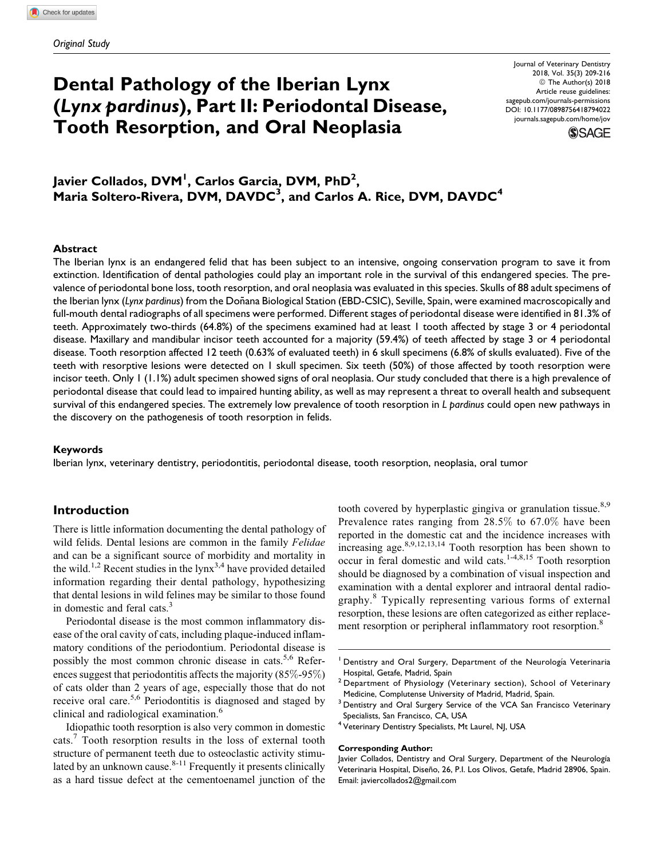# Dental Pathology of the Iberian Lynx (Lynx pardinus), Part II: Periodontal Disease, Tooth Resorption, and Oral Neoplasia

Journal of Veterinary Dentistry 2018, Vol. 35(3) 209-216 ª The Author(s) 2018 Article reuse guidelines: [sagepub.com/journals-permissions](https://sagepub.com/journals-permissions) [DOI: 10.1177/0898756418794022](https://doi.org/10.1177/0898756418794022) [journals.sagepub.com/home/jov](http://journals.sagepub.com/home/jov)



# Javier Collados, DVM<sup>I</sup>, Carlos Garcia, DVM, PhD<sup>2</sup>,  $\,$ Maria Soltero-Rivera, DVM, DAVDC $^3\!$ , and Carlos A. Rice, DVM, DAVDC $^4\,$

## **Abstract**

The Iberian lynx is an endangered felid that has been subject to an intensive, ongoing conservation program to save it from extinction. Identification of dental pathologies could play an important role in the survival of this endangered species. The prevalence of periodontal bone loss, tooth resorption, and oral neoplasia was evaluated in this species. Skulls of 88 adult specimens of the Iberian lynx (Lynx pardinus) from the Doñana Biological Station (EBD-CSIC), Seville, Spain, were examined macroscopically and full-mouth dental radiographs of all specimens were performed. Different stages of periodontal disease were identified in 81.3% of teeth. Approximately two-thirds (64.8%) of the specimens examined had at least 1 tooth affected by stage 3 or 4 periodontal disease. Maxillary and mandibular incisor teeth accounted for a majority (59.4%) of teeth affected by stage 3 or 4 periodontal disease. Tooth resorption affected 12 teeth (0.63% of evaluated teeth) in 6 skull specimens (6.8% of skulls evaluated). Five of the teeth with resorptive lesions were detected on 1 skull specimen. Six teeth (50%) of those affected by tooth resorption were incisor teeth. Only 1 (1.1%) adult specimen showed signs of oral neoplasia. Our study concluded that there is a high prevalence of periodontal disease that could lead to impaired hunting ability, as well as may represent a threat to overall health and subsequent survival of this endangered species. The extremely low prevalence of tooth resorption in L pardinus could open new pathways in the discovery on the pathogenesis of tooth resorption in felids.

#### Keywords

Iberian lynx, veterinary dentistry, periodontitis, periodontal disease, tooth resorption, neoplasia, oral tumor

# Introduction

There is little information documenting the dental pathology of wild felids. Dental lesions are common in the family Felidae and can be a significant source of morbidity and mortality in the wild.<sup>1,2</sup> Recent studies in the  $1.2^{3,4}$  have provided detailed information regarding their dental pathology, hypothesizing that dental lesions in wild felines may be similar to those found in domestic and feral cats. $3$ 

Periodontal disease is the most common inflammatory disease of the oral cavity of cats, including plaque-induced inflammatory conditions of the periodontium. Periodontal disease is possibly the most common chronic disease in cats.<sup>5,6</sup> References suggest that periodontitis affects the majority (85%-95%) of cats older than 2 years of age, especially those that do not receive oral care.<sup>5,6</sup> Periodontitis is diagnosed and staged by clinical and radiological examination.<sup>6</sup>

Idiopathic tooth resorption is also very common in domestic cats.<sup>7</sup> Tooth resorption results in the loss of external tooth structure of permanent teeth due to osteoclastic activity stimulated by an unknown cause. $8-11$  Frequently it presents clinically as a hard tissue defect at the cementoenamel junction of the tooth covered by hyperplastic gingiva or granulation tissue.<sup>8,9</sup> Prevalence rates ranging from 28.5% to 67.0% have been reported in the domestic cat and the incidence increases with increasing age. $8,9,12,13,14$  Tooth resorption has been shown to occur in feral domestic and wild cats.1-4,8,15 Tooth resorption should be diagnosed by a combination of visual inspection and examination with a dental explorer and intraoral dental radiography.<sup>8</sup> Typically representing various forms of external resorption, these lesions are often categorized as either replacement resorption or peripheral inflammatory root resorption.<sup>8</sup>

<sup>3</sup> Dentistry and Oral Surgery Service of the VCA San Francisco Veterinary Specialists, San Francisco, CA, USA

#### Corresponding Author:

Dentistry and Oral Surgery, Department of the Neurología Veterinaria Hospital, Getafe, Madrid, Spain

<sup>&</sup>lt;sup>2</sup> Department of Physiology (Veterinary section), School of Veterinary Medicine, Complutense University of Madrid, Madrid, Spain.

Veterinary Dentistry Specialists, Mt Laurel, NJ, USA

Javier Collados, Dentistry and Oral Surgery, Department of the Neurología Veterinaria Hospital, Diseño, 26, P.I. Los Olivos, Getafe, Madrid 28906, Spain. Email: [javiercollados2@gmail.com](mailto:javiercollados2@gmail.com)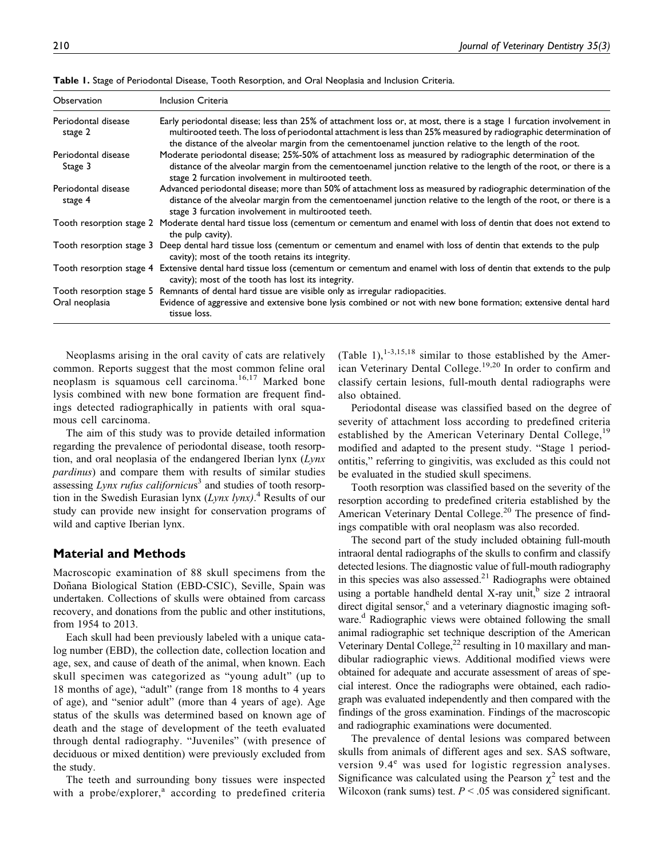| Observation                    | Inclusion Criteria                                                                                                                                                                                                                                                                                                                                  |
|--------------------------------|-----------------------------------------------------------------------------------------------------------------------------------------------------------------------------------------------------------------------------------------------------------------------------------------------------------------------------------------------------|
| Periodontal disease<br>stage 2 | Early periodontal disease; less than 25% of attachment loss or, at most, there is a stage I furcation involvement in<br>multirooted teeth. The loss of periodontal attachment is less than 25% measured by radiographic determination of<br>the distance of the alveolar margin from the cementoenamel junction relative to the length of the root. |
| Periodontal disease<br>Stage 3 | Moderate periodontal disease; 25%-50% of attachment loss as measured by radiographic determination of the<br>distance of the alveolar margin from the cementoenamel junction relative to the length of the root, or there is a<br>stage 2 furcation involvement in multirooted teeth.                                                               |
| Periodontal disease<br>stage 4 | Advanced periodontal disease; more than 50% of attachment loss as measured by radiographic determination of the<br>distance of the alveolar margin from the cementoenamel junction relative to the length of the root, or there is a<br>stage 3 furcation involvement in multirooted teeth.                                                         |
|                                | Tooth resorption stage 2 Moderate dental hard tissue loss (cementum or cementum and enamel with loss of dentin that does not extend to<br>the pulp cavity).                                                                                                                                                                                         |
| Tooth resorption stage 3       | Deep dental hard tissue loss (cementum or cementum and enamel with loss of dentin that extends to the pulp<br>cavity); most of the tooth retains its integrity.                                                                                                                                                                                     |
|                                | Tooth resorption stage 4 Extensive dental hard tissue loss (cementum or cementum and enamel with loss of dentin that extends to the pulp<br>cavity); most of the tooth has lost its integrity.                                                                                                                                                      |
|                                | Tooth resorption stage 5 Remnants of dental hard tissue are visible only as irregular radiopacities.                                                                                                                                                                                                                                                |
| Oral neoplasia                 | Evidence of aggressive and extensive bone lysis combined or not with new bone formation; extensive dental hard<br>tissue loss.                                                                                                                                                                                                                      |

Table 1. Stage of Periodontal Disease, Tooth Resorption, and Oral Neoplasia and Inclusion Criteria.

Neoplasms arising in the oral cavity of cats are relatively common. Reports suggest that the most common feline oral neoplasm is squamous cell carcinoma.<sup>16,17</sup> Marked bone lysis combined with new bone formation are frequent findings detected radiographically in patients with oral squamous cell carcinoma.

The aim of this study was to provide detailed information regarding the prevalence of periodontal disease, tooth resorption, and oral neoplasia of the endangered Iberian lynx  $(Lynx)$ pardinus) and compare them with results of similar studies assessing  $Lynx$  rufus californicus<sup>3</sup> and studies of tooth resorption in the Swedish Eurasian lynx  $(Lynx\ lynx)$ .<sup>4</sup> Results of our study can provide new insight for conservation programs of wild and captive Iberian lynx.

## Material and Methods

Macroscopic examination of 88 skull specimens from the Doñana Biological Station (EBD-CSIC), Seville, Spain was undertaken. Collections of skulls were obtained from carcass recovery, and donations from the public and other institutions, from 1954 to 2013.

Each skull had been previously labeled with a unique catalog number (EBD), the collection date, collection location and age, sex, and cause of death of the animal, when known. Each skull specimen was categorized as "young adult" (up to 18 months of age), "adult" (range from 18 months to 4 years of age), and "senior adult" (more than 4 years of age). Age status of the skulls was determined based on known age of death and the stage of development of the teeth evaluated through dental radiography. "Juveniles" (with presence of deciduous or mixed dentition) were previously excluded from the study.

The teeth and surrounding bony tissues were inspected with a probe/explorer, $a$  according to predefined criteria (Table 1),<sup>1-3,15,18</sup> similar to those established by the American Veterinary Dental College.19,20 In order to confirm and classify certain lesions, full-mouth dental radiographs were also obtained.

Periodontal disease was classified based on the degree of severity of attachment loss according to predefined criteria established by the American Veterinary Dental College,<sup>19</sup> modified and adapted to the present study. "Stage 1 periodontitis," referring to gingivitis, was excluded as this could not be evaluated in the studied skull specimens.

Tooth resorption was classified based on the severity of the resorption according to predefined criteria established by the American Veterinary Dental College.<sup>20</sup> The presence of findings compatible with oral neoplasm was also recorded.

The second part of the study included obtaining full-mouth intraoral dental radiographs of the skulls to confirm and classify detected lesions. The diagnostic value of full-mouth radiography in this species was also assessed. $2<sup>1</sup>$  Radiographs were obtained using a portable handheld dental X-ray unit, $\frac{b}{b}$  size 2 intraoral direct digital sensor, $c$  and a veterinary diagnostic imaging software.<sup>d</sup> Radiographic views were obtained following the small animal radiographic set technique description of the American Veterinary Dental College, $^{22}$  resulting in 10 maxillary and mandibular radiographic views. Additional modified views were obtained for adequate and accurate assessment of areas of special interest. Once the radiographs were obtained, each radiograph was evaluated independently and then compared with the findings of the gross examination. Findings of the macroscopic and radiographic examinations were documented.

The prevalence of dental lesions was compared between skulls from animals of different ages and sex. SAS software, version  $9.4^e$  was used for logistic regression analyses. Significance was calculated using the Pearson  $\chi^2$  test and the Wilcoxon (rank sums) test.  $P < .05$  was considered significant.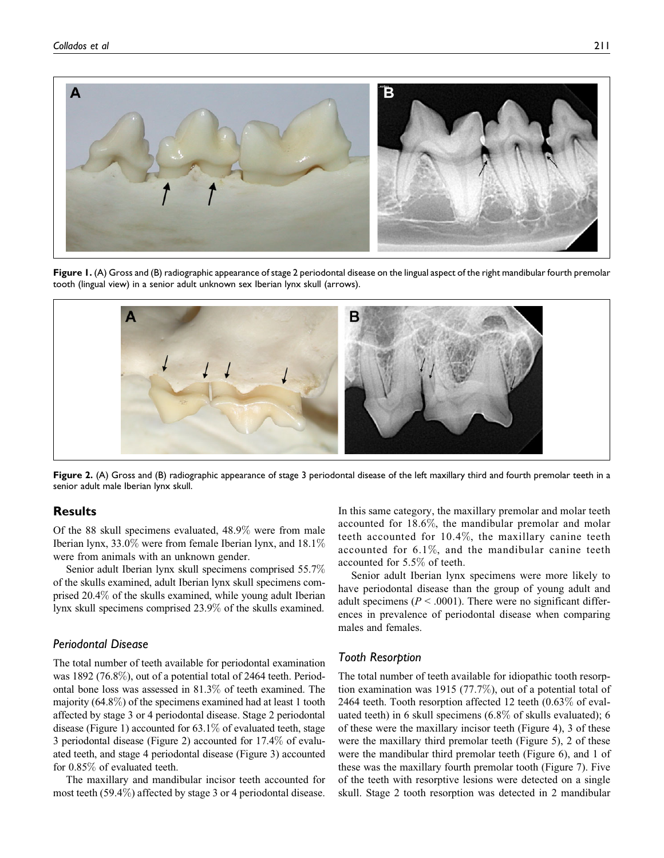

Figure 1. (A) Gross and (B) radiographic appearance of stage 2 periodontal disease on the lingual aspect of the right mandibular fourth premolar tooth (lingual view) in a senior adult unknown sex Iberian lynx skull (arrows).



Figure 2. (A) Gross and (B) radiographic appearance of stage 3 periodontal disease of the left maxillary third and fourth premolar teeth in a senior adult male Iberian lynx skull.

# **Results**

Of the 88 skull specimens evaluated, 48.9% were from male Iberian lynx,  $33.0\%$  were from female Iberian lynx, and  $18.1\%$ were from animals with an unknown gender.

Senior adult Iberian lynx skull specimens comprised 55.7% of the skulls examined, adult Iberian lynx skull specimens comprised 20.4% of the skulls examined, while young adult Iberian lynx skull specimens comprised 23.9% of the skulls examined.

# Periodontal Disease

The total number of teeth available for periodontal examination was 1892 (76.8%), out of a potential total of 2464 teeth. Periodontal bone loss was assessed in 81.3% of teeth examined. The majority  $(64.8\%)$  of the specimens examined had at least 1 tooth affected by stage 3 or 4 periodontal disease. Stage 2 periodontal disease (Figure 1) accounted for 63.1% of evaluated teeth, stage 3 periodontal disease (Figure 2) accounted for 17.4% of evaluated teeth, and stage 4 periodontal disease (Figure 3) accounted for 0.85% of evaluated teeth.

The maxillary and mandibular incisor teeth accounted for most teeth (59.4%) affected by stage 3 or 4 periodontal disease.

In this same category, the maxillary premolar and molar teeth accounted for 18.6%, the mandibular premolar and molar teeth accounted for 10.4%, the maxillary canine teeth accounted for 6.1%, and the mandibular canine teeth accounted for 5.5% of teeth.

Senior adult Iberian lynx specimens were more likely to have periodontal disease than the group of young adult and adult specimens ( $P < .0001$ ). There were no significant differences in prevalence of periodontal disease when comparing males and females.

## Tooth Resorption

The total number of teeth available for idiopathic tooth resorption examination was 1915 (77.7%), out of a potential total of 2464 teeth. Tooth resorption affected 12 teeth (0.63% of evaluated teeth) in 6 skull specimens (6.8% of skulls evaluated); 6 of these were the maxillary incisor teeth (Figure 4), 3 of these were the maxillary third premolar teeth (Figure 5), 2 of these were the mandibular third premolar teeth (Figure 6), and 1 of these was the maxillary fourth premolar tooth (Figure 7). Five of the teeth with resorptive lesions were detected on a single skull. Stage 2 tooth resorption was detected in 2 mandibular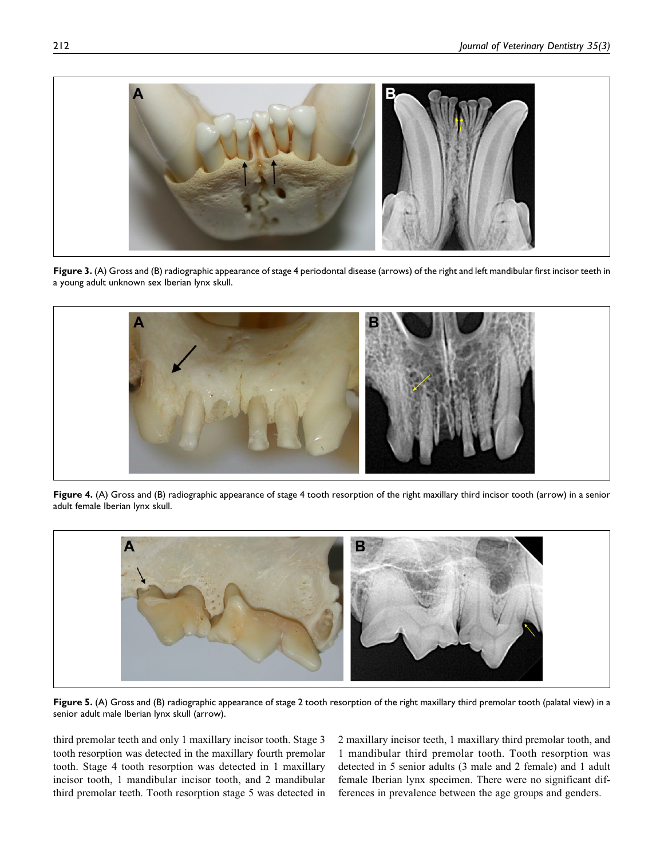

Figure 3. (A) Gross and (B) radiographic appearance of stage 4 periodontal disease (arrows) of the right and left mandibular first incisor teeth in a young adult unknown sex Iberian lynx skull.



Figure 4. (A) Gross and (B) radiographic appearance of stage 4 tooth resorption of the right maxillary third incisor tooth (arrow) in a senior adult female Iberian lynx skull.



Figure 5. (A) Gross and (B) radiographic appearance of stage 2 tooth resorption of the right maxillary third premolar tooth (palatal view) in a senior adult male Iberian lynx skull (arrow).

third premolar teeth and only 1 maxillary incisor tooth. Stage 3 tooth resorption was detected in the maxillary fourth premolar tooth. Stage 4 tooth resorption was detected in 1 maxillary incisor tooth, 1 mandibular incisor tooth, and 2 mandibular third premolar teeth. Tooth resorption stage 5 was detected in 2 maxillary incisor teeth, 1 maxillary third premolar tooth, and 1 mandibular third premolar tooth. Tooth resorption was detected in 5 senior adults (3 male and 2 female) and 1 adult female Iberian lynx specimen. There were no significant differences in prevalence between the age groups and genders.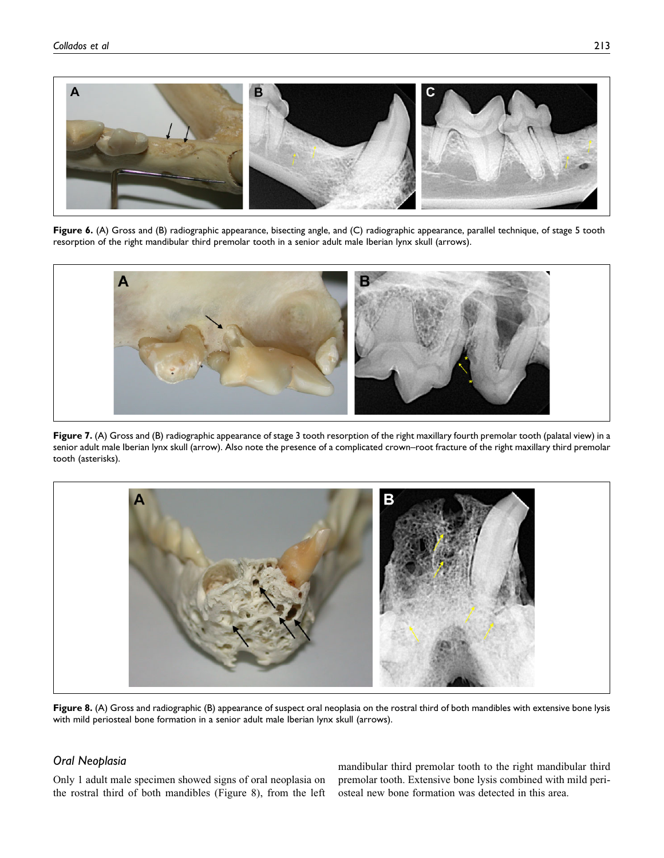

Figure 6. (A) Gross and (B) radiographic appearance, bisecting angle, and (C) radiographic appearance, parallel technique, of stage 5 tooth resorption of the right mandibular third premolar tooth in a senior adult male Iberian lynx skull (arrows).



Figure 7. (A) Gross and (B) radiographic appearance of stage 3 tooth resorption of the right maxillary fourth premolar tooth (palatal view) in a senior adult male Iberian lynx skull (arrow). Also note the presence of a complicated crown–root fracture of the right maxillary third premolar tooth (asterisks).



Figure 8. (A) Gross and radiographic (B) appearance of suspect oral neoplasia on the rostral third of both mandibles with extensive bone lysis with mild periosteal bone formation in a senior adult male Iberian lynx skull (arrows).

# Oral Neoplasia

Only 1 adult male specimen showed signs of oral neoplasia on the rostral third of both mandibles (Figure 8), from the left

mandibular third premolar tooth to the right mandibular third premolar tooth. Extensive bone lysis combined with mild periosteal new bone formation was detected in this area.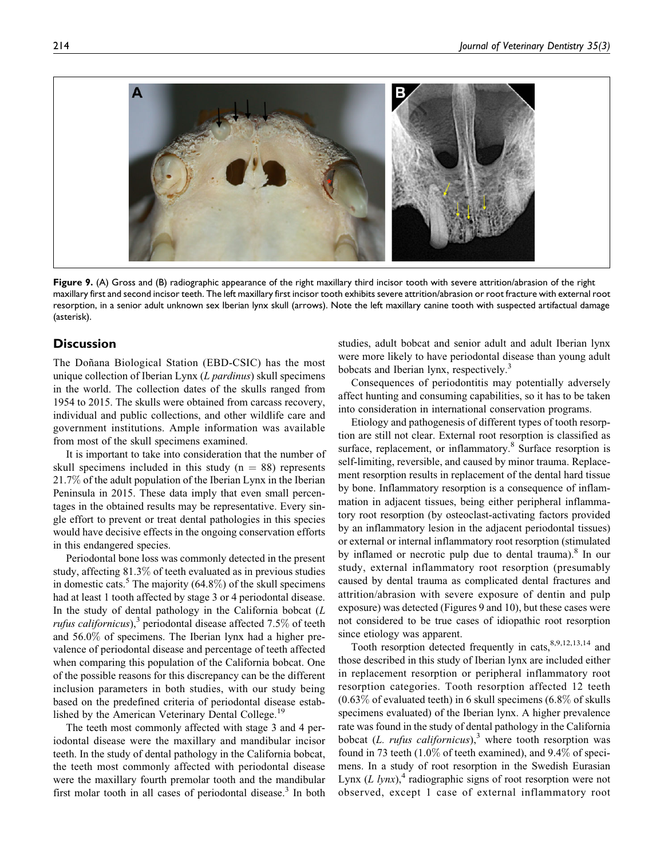

Figure 9. (A) Gross and (B) radiographic appearance of the right maxillary third incisor tooth with severe attrition/abrasion of the right maxillary first and second incisor teeth. The left maxillary first incisor tooth exhibits severe attrition/abrasion or root fracture with external root resorption, in a senior adult unknown sex Iberian lynx skull (arrows). Note the left maxillary canine tooth with suspected artifactual damage (asterisk).

## **Discussion**

The Doñana Biological Station (EBD-CSIC) has the most unique collection of Iberian Lynx  $(L \text{ }partial)$  skull specimens in the world. The collection dates of the skulls ranged from 1954 to 2015. The skulls were obtained from carcass recovery, individual and public collections, and other wildlife care and government institutions. Ample information was available from most of the skull specimens examined.

It is important to take into consideration that the number of skull specimens included in this study ( $n = 88$ ) represents 21.7% of the adult population of the Iberian Lynx in the Iberian Peninsula in 2015. These data imply that even small percentages in the obtained results may be representative. Every single effort to prevent or treat dental pathologies in this species would have decisive effects in the ongoing conservation efforts in this endangered species.

Periodontal bone loss was commonly detected in the present study, affecting 81.3% of teeth evaluated as in previous studies in domestic cats.<sup>5</sup> The majority (64.8%) of the skull specimens had at least 1 tooth affected by stage 3 or 4 periodontal disease. In the study of dental pathology in the California bobcat  $(L)$ *rufus californicus*),<sup>3</sup> periodontal disease affected 7.5% of teeth and 56.0% of specimens. The Iberian lynx had a higher prevalence of periodontal disease and percentage of teeth affected when comparing this population of the California bobcat. One of the possible reasons for this discrepancy can be the different inclusion parameters in both studies, with our study being based on the predefined criteria of periodontal disease established by the American Veterinary Dental College.<sup>19</sup>

The teeth most commonly affected with stage 3 and 4 periodontal disease were the maxillary and mandibular incisor teeth. In the study of dental pathology in the California bobcat, the teeth most commonly affected with periodontal disease were the maxillary fourth premolar tooth and the mandibular first molar tooth in all cases of periodontal disease. $3$  In both studies, adult bobcat and senior adult and adult Iberian lynx were more likely to have periodontal disease than young adult bobcats and Iberian lynx, respectively.<sup>3</sup>

Consequences of periodontitis may potentially adversely affect hunting and consuming capabilities, so it has to be taken into consideration in international conservation programs.

Etiology and pathogenesis of different types of tooth resorption are still not clear. External root resorption is classified as surface, replacement, or inflammatory.<sup>8</sup> Surface resorption is self-limiting, reversible, and caused by minor trauma. Replacement resorption results in replacement of the dental hard tissue by bone. Inflammatory resorption is a consequence of inflammation in adjacent tissues, being either peripheral inflammatory root resorption (by osteoclast-activating factors provided by an inflammatory lesion in the adjacent periodontal tissues) or external or internal inflammatory root resorption (stimulated by inflamed or necrotic pulp due to dental trauma).<sup>8</sup> In our study, external inflammatory root resorption (presumably caused by dental trauma as complicated dental fractures and attrition/abrasion with severe exposure of dentin and pulp exposure) was detected (Figures 9 and 10), but these cases were not considered to be true cases of idiopathic root resorption since etiology was apparent.

Tooth resorption detected frequently in cats,  $8,9,12,13,14$  and those described in this study of Iberian lynx are included either in replacement resorption or peripheral inflammatory root resorption categories. Tooth resorption affected 12 teeth  $(0.63\%$  of evaluated teeth) in 6 skull specimens  $(6.8\%$  of skulls specimens evaluated) of the Iberian lynx. A higher prevalence rate was found in the study of dental pathology in the California bobcat (L. rufus californicus),<sup>3</sup> where tooth resorption was found in 73 teeth (1.0% of teeth examined), and 9.4% of specimens. In a study of root resorption in the Swedish Eurasian Lynx  $(L \text{ } lynx)$ ,<sup>4</sup> radiographic signs of root resorption were not observed, except 1 case of external inflammatory root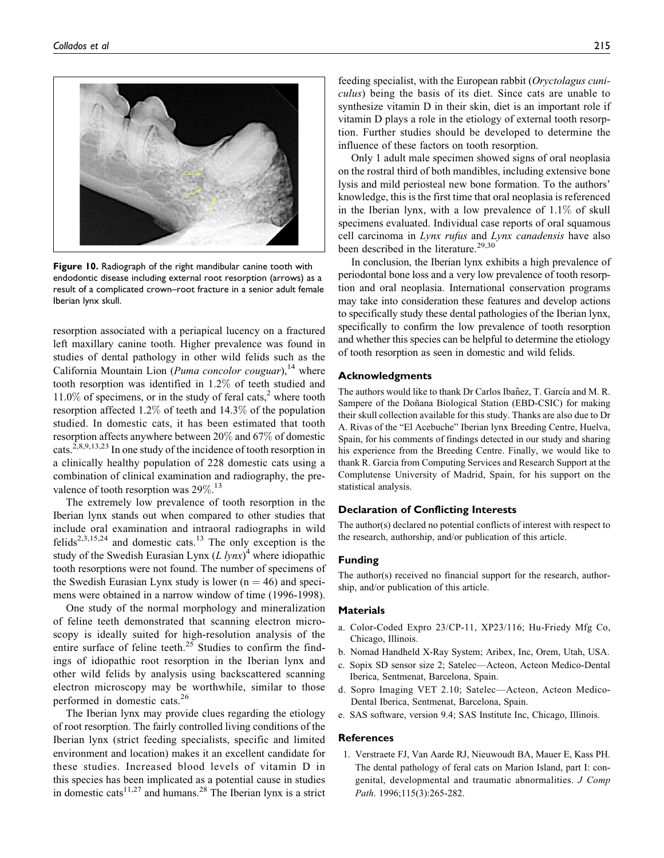

Figure 10. Radiograph of the right mandibular canine tooth with endodontic disease including external root resorption (arrows) as a result of a complicated crown–root fracture in a senior adult female Iberian lynx skull.

resorption associated with a periapical lucency on a fractured left maxillary canine tooth. Higher prevalence was found in studies of dental pathology in other wild felids such as the California Mountain Lion (*Puma concolor couguar*),<sup>14</sup> where tooth resorption was identified in 1.2% of teeth studied and  $11.0\%$  of specimens, or in the study of feral cats,<sup>2</sup> where tooth resorption affected 1.2% of teeth and 14.3% of the population studied. In domestic cats, it has been estimated that tooth resorption affects anywhere between 20% and 67% of domestic cats.<sup> $2,8,9,13,23$ </sup> In one study of the incidence of tooth resorption in a clinically healthy population of 228 domestic cats using a combination of clinical examination and radiography, the prevalence of tooth resorption was 29%.<sup>13</sup>

The extremely low prevalence of tooth resorption in the Iberian lynx stands out when compared to other studies that include oral examination and intraoral radiographs in wild felids<sup>2,3,15,24</sup> and domestic cats.<sup>13</sup> The only exception is the study of the Swedish Eurasian Lynx  $(L lynx)^4$  where idiopathic tooth resorptions were not found. The number of specimens of the Swedish Eurasian Lynx study is lower  $(n = 46)$  and specimens were obtained in a narrow window of time (1996-1998).

One study of the normal morphology and mineralization of feline teeth demonstrated that scanning electron microscopy is ideally suited for high-resolution analysis of the entire surface of feline teeth. $25$  Studies to confirm the findings of idiopathic root resorption in the Iberian lynx and other wild felids by analysis using backscattered scanning electron microscopy may be worthwhile, similar to those performed in domestic cats.<sup>26</sup>

The Iberian lynx may provide clues regarding the etiology of root resorption. The fairly controlled living conditions of the Iberian lynx (strict feeding specialists, specific and limited environment and location) makes it an excellent candidate for these studies. Increased blood levels of vitamin D in this species has been implicated as a potential cause in studies in domestic cats<sup>11,27</sup> and humans.<sup>28</sup> The Iberian lynx is a strict

feeding specialist, with the European rabbit (Oryctolagus cuniculus) being the basis of its diet. Since cats are unable to synthesize vitamin D in their skin, diet is an important role if vitamin D plays a role in the etiology of external tooth resorption. Further studies should be developed to determine the influence of these factors on tooth resorption.

Only 1 adult male specimen showed signs of oral neoplasia on the rostral third of both mandibles, including extensive bone lysis and mild periosteal new bone formation. To the authors' knowledge, this is the first time that oral neoplasia is referenced in the Iberian lynx, with a low prevalence of 1.1% of skull specimens evaluated. Individual case reports of oral squamous cell carcinoma in Lynx rufus and Lynx canadensis have also been described in the literature.<sup>29,30</sup>

In conclusion, the Iberian lynx exhibits a high prevalence of periodontal bone loss and a very low prevalence of tooth resorption and oral neoplasia. International conservation programs may take into consideration these features and develop actions to specifically study these dental pathologies of the Iberian lynx, specifically to confirm the low prevalence of tooth resorption and whether this species can be helpful to determine the etiology of tooth resorption as seen in domestic and wild felids.

## Acknowledgments

The authors would like to thank Dr Carlos Ibañez, T. García and M. R. Sampere of the Doñana Biological Station (EBD-CSIC) for making their skull collection available for this study. Thanks are also due to Dr A. Rivas of the "El Acebuche" Iberian lynx Breeding Centre, Huelva, Spain, for his comments of findings detected in our study and sharing his experience from the Breeding Centre. Finally, we would like to thank R. Garcia from Computing Services and Research Support at the Complutense University of Madrid, Spain, for his support on the statistical analysis.

### Declaration of Conflicting Interests

The author(s) declared no potential conflicts of interest with respect to the research, authorship, and/or publication of this article.

#### Funding

The author(s) received no financial support for the research, authorship, and/or publication of this article.

#### Materials

- a. Color-Coded Expro 23/CP-11, XP23/116; Hu-Friedy Mfg Co, Chicago, Illinois.
- b. Nomad Handheld X-Ray System; Aribex, Inc, Orem, Utah, USA.
- c. Sopix SD sensor size 2; Satelec—Acteon, Acteon Medico-Dental Iberica, Sentmenat, Barcelona, Spain.
- d. Sopro Imaging VET 2.10; Satelec—Acteon, Acteon Medico-Dental Iberica, Sentmenat, Barcelona, Spain.
- e. SAS software, version 9.4; SAS Institute Inc, Chicago, Illinois.

### **References**

1. Verstraete FJ, Van Aarde RJ, Nieuwoudt BA, Mauer E, Kass PH. The dental pathology of feral cats on Marion Island, part I: congenital, developmental and traumatic abnormalities. J Comp Path. 1996;115(3):265-282.